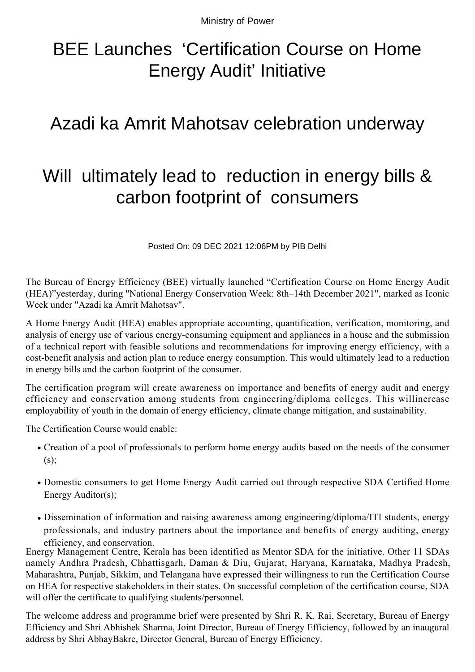Ministry of Power

## BEE Launches 'Certification Course on Home Energy Audit' Initiative

## Azadi ka Amrit Mahotsav celebration underway

## Will ultimately lead to reduction in energy bills & carbon footprint of consumers

Posted On: 09 DEC 2021 12:06PM by PIB Delhi

The Bureau of Energy Efficiency (BEE) virtually launched "Certification Course on Home Energy Audit (HEA)"yesterday, during "National Energy Conservation Week: 8th–14th December 2021", marked as Iconic Week under "Azadi ka Amrit Mahotsav".

A Home Energy Audit (HEA) enables appropriate accounting, quantification, verification, monitoring, and analysis of energy use of various energy-consuming equipment and appliances in a house and the submission of a technical report with feasible solutions and recommendations for improving energy efficiency, with a cost-benefit analysis and action plan to reduce energy consumption. This would ultimately lead to a reduction in energy bills and the carbon footprint of the consumer.

The certification program will create awareness on importance and benefits of energy audit and energy efficiency and conservation among students from engineering/diploma colleges. This willincrease employability of youth in the domain of energy efficiency, climate change mitigation, and sustainability.

The Certification Course would enable:

- Creation of a pool of professionals to perform home energy audits based on the needs of the consumer  $(s)$ :
- Domestic consumers to get Home Energy Audit carried out through respective SDA Certified Home Energy Auditor(s);
- Dissemination of information and raising awareness among engineering/diploma/ITI students, energy professionals, and industry partners about the importance and benefits of energy auditing, energy efficiency, and conservation.

Energy Management Centre, Kerala has been identified as Mentor SDA for the initiative. Other 11 SDAs namely Andhra Pradesh, Chhattisgarh, Daman & Diu, Gujarat, Haryana, Karnataka, Madhya Pradesh, Maharashtra, Punjab, Sikkim, and Telangana have expressed their willingness to run the Certification Course on HEA for respective stakeholders in their states. On successful completion of the certification course, SDA will offer the certificate to qualifying students/personnel.

The welcome address and programme brief were presented by Shri R. K. Rai, Secretary, Bureau of Energy Efficiency and Shri Abhishek Sharma, Joint Director, Bureau of Energy Efficiency, followed by an inaugural address by Shri AbhayBakre, Director General, Bureau of Energy Efficiency.